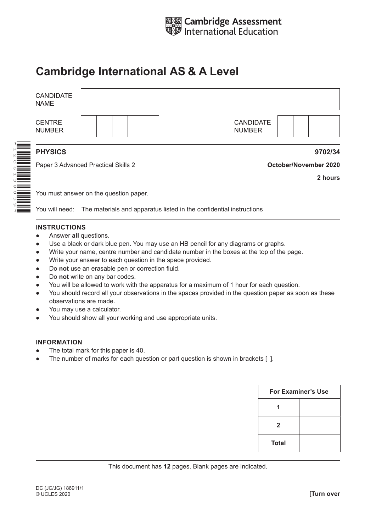

# **Cambridge International AS & A Level**

|                                                                                                                       | <b>CANDIDATE</b><br><b>NAME</b>     |                                                                                    |  |                       |  |  |         |
|-----------------------------------------------------------------------------------------------------------------------|-------------------------------------|------------------------------------------------------------------------------------|--|-----------------------|--|--|---------|
|                                                                                                                       | <b>CENTRE</b><br><b>NUMBER</b>      | <b>CANDIDATE</b><br><b>NUMBER</b>                                                  |  |                       |  |  |         |
|                                                                                                                       | <b>PHYSICS</b>                      |                                                                                    |  |                       |  |  | 9702/34 |
|                                                                                                                       | Paper 3 Advanced Practical Skills 2 |                                                                                    |  | October/November 2020 |  |  |         |
|                                                                                                                       |                                     |                                                                                    |  |                       |  |  | 2 hours |
| <b>E DE LA PARTIE DE LA PARTIE DE LA PARTIE DE LA PARTIE DE LA PARTIE DE LA PARTIE DE LA PARTIE DE LA PARTIE DE L</b> |                                     | You must answer on the question paper.                                             |  |                       |  |  |         |
|                                                                                                                       |                                     | You will need: The materials and apparatus listed in the confidential instructions |  |                       |  |  |         |

You will need: The materials and apparatus listed in the confidential instructions

#### **INSTRUCTIONS**

\*1206138039\*

- Answer **all** questions.
- Use a black or dark blue pen. You may use an HB pencil for any diagrams or graphs.
- Write your name, centre number and candidate number in the boxes at the top of the page.
- Write your answer to each question in the space provided.
- Do **not** use an erasable pen or correction fluid.
- Do **not** write on any bar codes.
- You will be allowed to work with the apparatus for a maximum of 1 hour for each question.
- You should record all your observations in the spaces provided in the question paper as soon as these observations are made.
- You may use a calculator.
- You should show all your working and use appropriate units.

### **INFORMATION**

- The total mark for this paper is 40.
- The number of marks for each question or part question is shown in brackets  $[ ]$ .

|              | <b>For Examiner's Use</b> |
|--------------|---------------------------|
|              |                           |
| $\mathbf{2}$ |                           |
| <b>Total</b> |                           |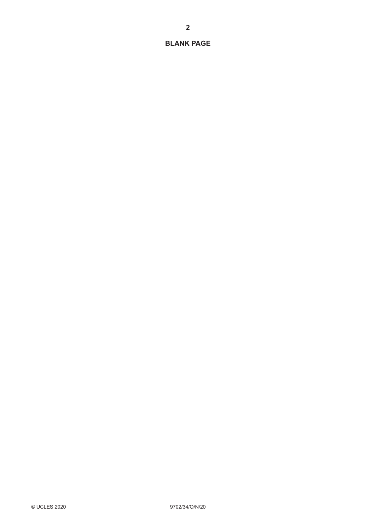# **BLANK PAGE**

 $\overline{\mathbf{2}}$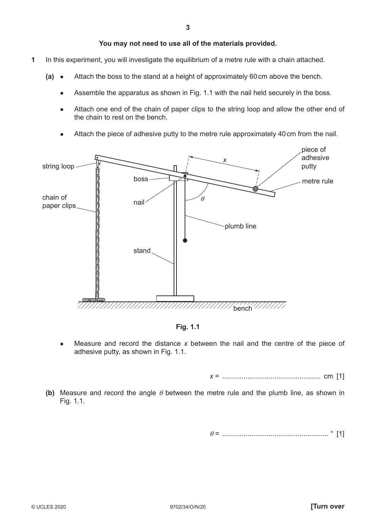## **You may not need to use all of the materials provided.**

- **1** In this experiment, you will investigate the equilibrium of a metre rule with a chain attached.
	- **(a)** Attach the boss to the stand at a height of approximately 60cm above the bench.
		- **•** Assemble the apparatus as shown in Fig. 1.1 with the nail held securely in the boss.
		- Attach one end of the chain of paper clips to the string loop and allow the other end of the chain to rest on the bench.
		- Attach the piece of adhesive putty to the metre rule approximately 40 cm from the nail.



**Fig. 1.1**

**Measure and record the distance**  $x$  **between the nail and the centre of the piece of** adhesive putty, as shown in Fig. 1.1.

*x* = ................................................... cm [1]

**(b)** Measure and record the angle θ between the metre rule and the plumb line, as shown in Fig. 1.1.

<sup>θ</sup> = ....................................................... ° [1]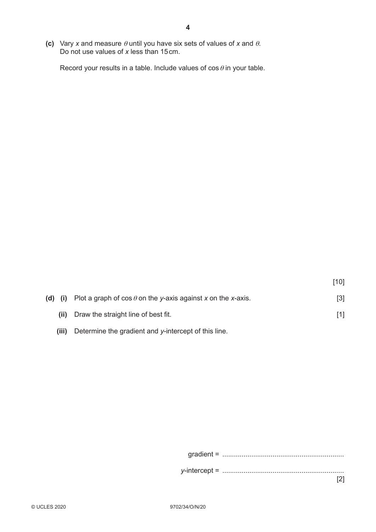**(c)** Vary *x* and measure θ until you have six sets of values of *x* and θ. Do not use values of *x* less than 15cm.

Record your results in a table. Include values of  $\cos\theta$  in your table.

|       |                                                                              | $[10]$ |
|-------|------------------------------------------------------------------------------|--------|
|       | (d) (i) Plot a graph of $\cos \theta$ on the y-axis against x on the x-axis. | [3]    |
| (ii)  | Draw the straight line of best fit.                                          |        |
| (iii) | Determine the gradient and y-intercept of this line.                         |        |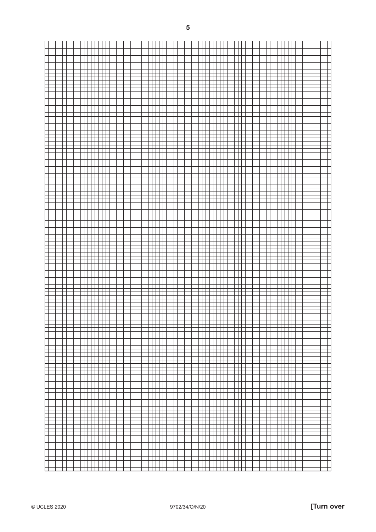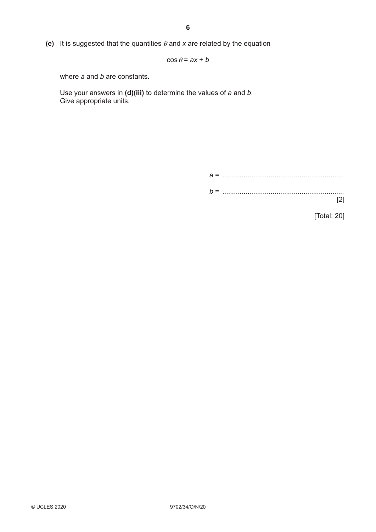**(e)** It is suggested that the quantities θ and *x* are related by the equation

 $\cos \theta = ax + b$ 

where *a* and *b* are constants.

Use your answers in **(d)(iii)** to determine the values of *a* and *b*. Give appropriate units.

> *a* = ............................................................... *b* = ............................................................... [2]

> > [Total: 20]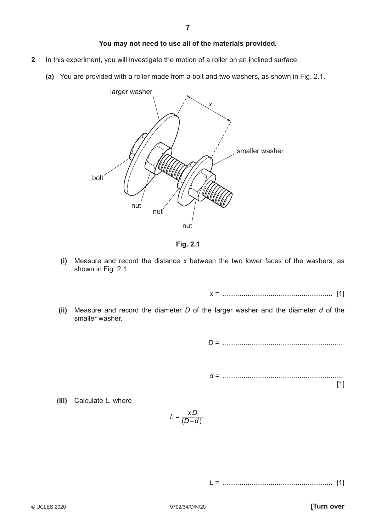# **You may not need to use all of the materials provided.**

- **2** In this experiment, you will investigate the motion of a roller on an inclined surface.
	- **(a)** You are provided with a roller made from a bolt and two washers, as shown in Fig. 2.1.



**Fig. 2.1**

 **(i)** Measure and record the distance *x* between the two lower faces of the washers, as shown in Fig. 2.1.

*x* = ......................................................... [1]

 **(ii)** Measure and record the diameter *D* of the larger washer and the diameter *d* of the smaller washer.

*D* = ...............................................................

*d* = ............................................................... [1]

 **(iii)** Calculate *L*, where

$$
L=\frac{xD}{(D-d)}.
$$

*L* = ......................................................... [1]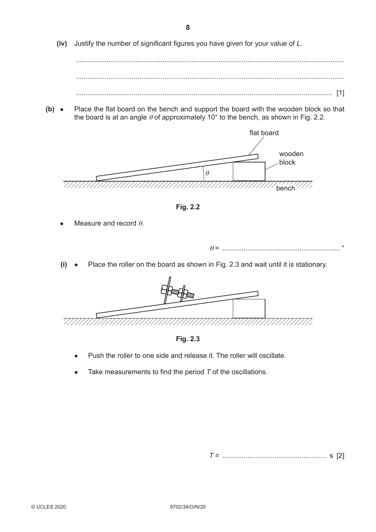**(iv)** Justify the number of significant figures you have given for your value of *L*.

........................................................................................................................................... ........................................................................................................................................... ..................................................................................................................................... [1]

**(b)** ● Place the flat board on the bench and support the board with the wooden block so that the board is at an angle  $\theta$  of approximately 10° to the bench, as shown in Fig. 2.2.





**Measure and record**  $\theta$ **.** 

<sup>θ</sup> = ............................................................. °

 **(i)** ● Place the roller on the board as shown in Fig. 2.3 and wait until it is stationary.



**Fig. 2.3**

- Push the roller to one side and release it. The roller will oscillate.
- Take measurements to find the period  $T$  of the oscillations.

*T* = ...................................................... s [2]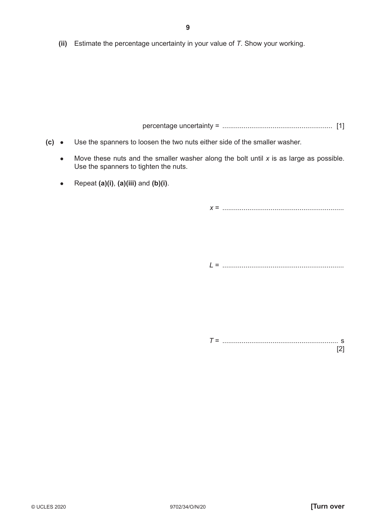**(ii)** Estimate the percentage uncertainty in your value of *T*. Show your working.

percentage uncertainty = ......................................................... [1]

- **(c)** Use the spanners to loosen the two nuts either side of the smaller washer.
	- Move these nuts and the smaller washer along the bolt until *x* is as large as possible. Use the spanners to tighten the nuts.
	- Repeat **(a)(i)**, **(a)(iii)** and **(b)(i)**.

*x* = ...............................................................

*L* = ...............................................................

*T* = ............................................................ s [2]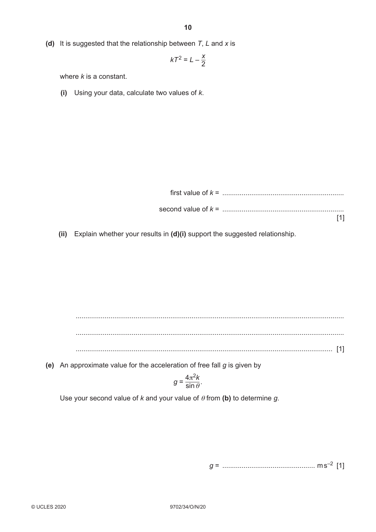**(d)** It is suggested that the relationship between *T*, *L* and *x* is

$$
kT^2 = L - \frac{x}{2}
$$

where *k* is a constant.

 **(i)** Using your data, calculate two values of *k*.

 **(ii)** Explain whether your results in **(d)(i)** support the suggested relationship.

........................................................................................................................................... ........................................................................................................................................... ..................................................................................................................................... [1]

**(e)** An approximate value for the acceleration of free fall *g* is given by

$$
g=\frac{4\pi^2k}{\sin\theta}.
$$

Use your second value of *k* and your value of θ from **(b)** to determine *g*.

*g* = ................................................ ms–2 [1]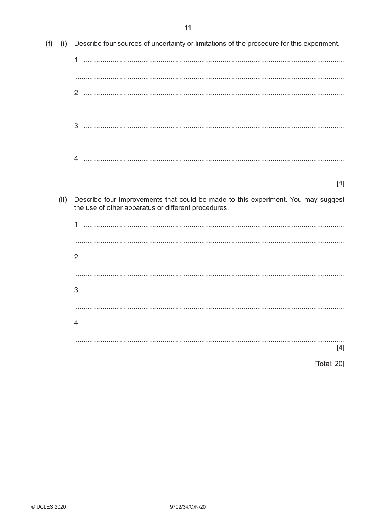| (f)                                                                                                                                              | (i) | Describe four sources of uncertainty or limitations of the procedure for this experiment. |  |
|--------------------------------------------------------------------------------------------------------------------------------------------------|-----|-------------------------------------------------------------------------------------------|--|
|                                                                                                                                                  |     |                                                                                           |  |
|                                                                                                                                                  |     |                                                                                           |  |
|                                                                                                                                                  |     |                                                                                           |  |
|                                                                                                                                                  |     |                                                                                           |  |
|                                                                                                                                                  |     |                                                                                           |  |
|                                                                                                                                                  |     |                                                                                           |  |
|                                                                                                                                                  |     |                                                                                           |  |
|                                                                                                                                                  |     | $[4]$                                                                                     |  |
| Describe four improvements that could be made to this experiment. You may suggest<br>(ii)<br>the use of other apparatus or different procedures. |     |                                                                                           |  |
|                                                                                                                                                  |     |                                                                                           |  |
|                                                                                                                                                  |     |                                                                                           |  |
|                                                                                                                                                  |     |                                                                                           |  |
|                                                                                                                                                  |     |                                                                                           |  |
|                                                                                                                                                  |     |                                                                                           |  |
|                                                                                                                                                  |     |                                                                                           |  |
|                                                                                                                                                  |     |                                                                                           |  |
|                                                                                                                                                  |     | $[4]$                                                                                     |  |

[Total: 20]